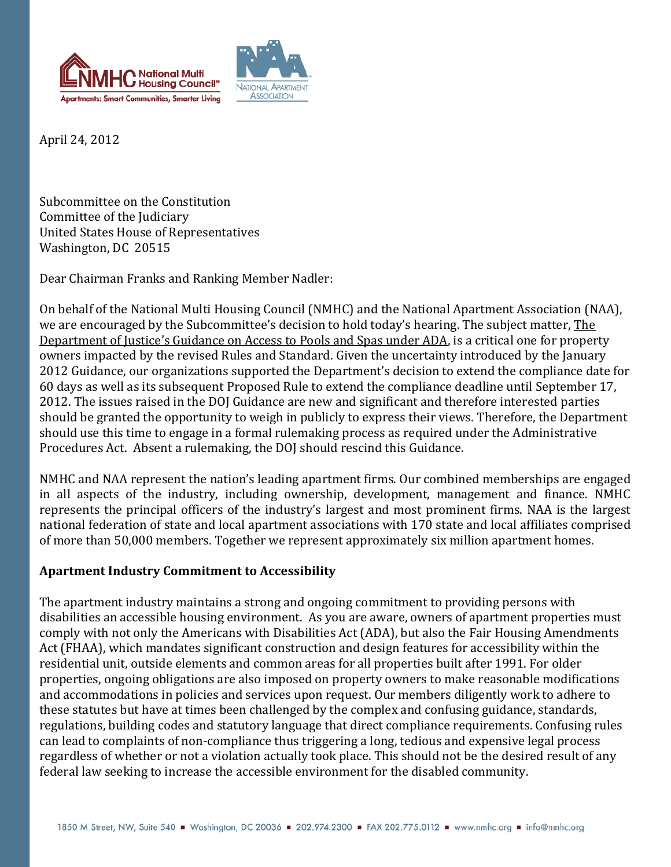



April 24, 2012

Subcommittee on the Constitution Committee of the Judiciary United States House of Representatives Washington, DC 20515

Dear Chairman Franks and Ranking Member Nadler:

On behalf of the National Multi Housing Council (NMHC) and the National Apartment Association (NAA), we are encouraged by the Subcommittee's decision to hold today's hearing. The subject matter, The Department of Justice's Guidance on Access to Pools and Spas under ADA, is a critical one for property owners impacted by the revised Rules and Standard. Given the uncertainty introduced by the January 2012 Guidance, our organizations supported the Department's decision to extend the compliance date for 60 days as well as its subsequent Proposed Rule to extend the compliance deadline until September 17, 2012. The issues raised in the DOJ Guidance are new and significant and therefore interested parties should be granted the opportunity to weigh in publicly to express their views. Therefore, the Department should use this time to engage in a formal rulemaking process as required under the Administrative Procedures Act. Absent a rulemaking, the DOJ should rescind this Guidance.

NMHC and NAA represent the nation's leading apartment firms. Our combined memberships are engaged in all aspects of the industry, including ownership, development, management and finance. NMHC represents the principal officers of the industry's largest and most prominent firms. NAA is the largest national federation of state and local apartment associations with 170 state and local affiliates comprised of more than 50,000 members. Together we represent approximately six million apartment homes.

## **Apartment Industry Commitment to Accessibility**

The apartment industry maintains a strong and ongoing commitment to providing persons with disabilities an accessible housing environment. As you are aware, owners of apartment properties must comply with not only the Americans with Disabilities Act (ADA), but also the Fair Housing Amendments Act (FHAA), which mandates significant construction and design features for accessibility within the residential unit, outside elements and common areas for all properties built after 1991. For older properties, ongoing obligations are also imposed on property owners to make reasonable modifications and accommodations in policies and services upon request. Our members diligently work to adhere to these statutes but have at times been challenged by the complex and confusing guidance, standards, regulations, building codes and statutory language that direct compliance requirements. Confusing rules can lead to complaints of non-compliance thus triggering a long, tedious and expensive legal process regardless of whether or not a violation actually took place. This should not be the desired result of any federal law seeking to increase the accessible environment for the disabled community.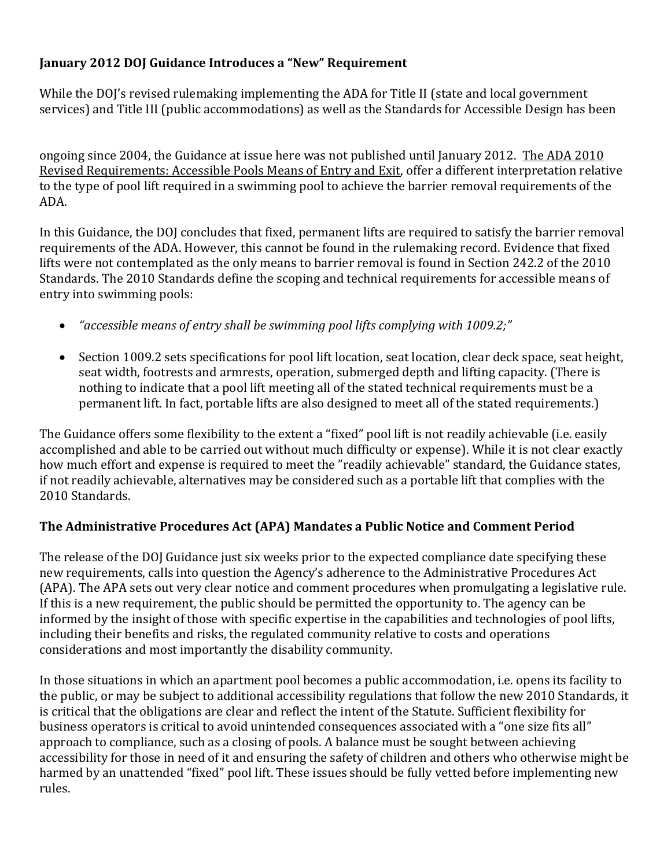## **January 2012 DOJ Guidance Introduces a "New" Requirement**

While the DOJ's revised rulemaking implementing the ADA for Title II (state and local government services) and Title III (public accommodations) as well as the Standards for Accessible Design has been

ongoing since 2004, the Guidance at issue here was not published until January 2012. The ADA 2010 Revised Requirements: Accessible Pools Means of Entry and Exit, offer a different interpretation relative to the type of pool lift required in a swimming pool to achieve the barrier removal requirements of the ADA.

In this Guidance, the DOJ concludes that fixed, permanent lifts are required to satisfy the barrier removal requirements of the ADA. However, this cannot be found in the rulemaking record. Evidence that fixed lifts were not contemplated as the only means to barrier removal is found in Section 242.2 of the 2010 Standards. The 2010 Standards define the scoping and technical requirements for accessible means of entry into swimming pools:

- *"accessible means of entry shall be swimming pool lifts complying with 1009.2;"*
- Section 1009.2 sets specifications for pool lift location, seat location, clear deck space, seat height, seat width, footrests and armrests, operation, submerged depth and lifting capacity. (There is nothing to indicate that a pool lift meeting all of the stated technical requirements must be a permanent lift. In fact, portable lifts are also designed to meet all of the stated requirements.)

The Guidance offers some flexibility to the extent a "fixed" pool lift is not readily achievable (i.e. easily accomplished and able to be carried out without much difficulty or expense). While it is not clear exactly how much effort and expense is required to meet the "readily achievable" standard, the Guidance states, if not readily achievable, alternatives may be considered such as a portable lift that complies with the 2010 Standards.

## **The Administrative Procedures Act (APA) Mandates a Public Notice and Comment Period**

The release of the DOJ Guidance just six weeks prior to the expected compliance date specifying these new requirements, calls into question the Agency's adherence to the Administrative Procedures Act (APA). The APA sets out very clear notice and comment procedures when promulgating a legislative rule. If this is a new requirement, the public should be permitted the opportunity to. The agency can be informed by the insight of those with specific expertise in the capabilities and technologies of pool lifts, including their benefits and risks, the regulated community relative to costs and operations considerations and most importantly the disability community.

In those situations in which an apartment pool becomes a public accommodation, i.e. opens its facility to the public, or may be subject to additional accessibility regulations that follow the new 2010 Standards, it is critical that the obligations are clear and reflect the intent of the Statute. Sufficient flexibility for business operators is critical to avoid unintended consequences associated with a "one size fits all" approach to compliance, such as a closing of pools. A balance must be sought between achieving accessibility for those in need of it and ensuring the safety of children and others who otherwise might be harmed by an unattended "fixed" pool lift. These issues should be fully vetted before implementing new rules.